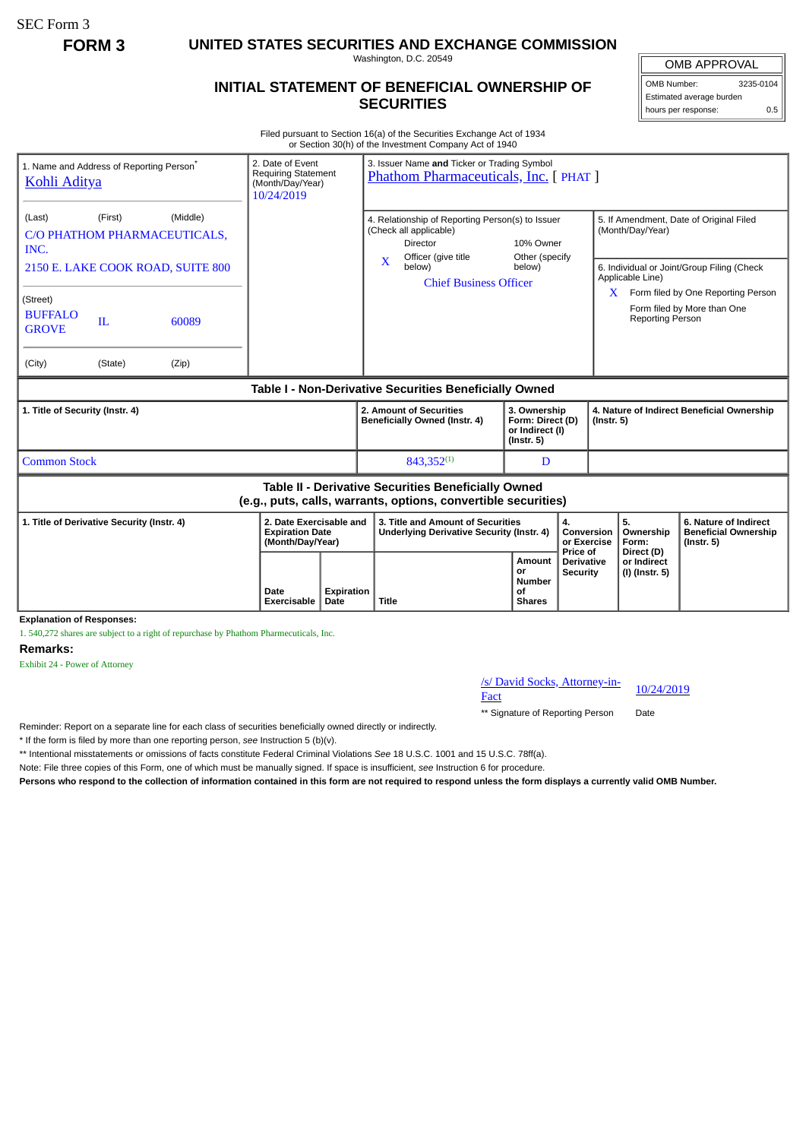SEC Form 3

**FORM 3 UNITED STATES SECURITIES AND EXCHANGE COMMISSION**

Washington, D.C. 20549

## **INITIAL STATEMENT OF BENEFICIAL OWNERSHIP OF SECURITIES**

OMB APPROVAL

OMB Number: 3235-0104 Estimated average burden hours per response: 0.5

Filed pursuant to Section 16(a) of the Securities Exchange Act of 1934 or Section 30(h) of the Investment Company Act of 1940

| 1. Name and Address of Reporting Person <sup>®</sup><br><b>Kohli Aditya</b>                                           | 10/24/2019                                                            | 2. Date of Event<br>3. Issuer Name and Ticker or Trading Symbol<br><b>Requiring Statement</b><br>Phathom Pharmaceuticals, Inc. [ PHAT ]<br>(Month/Day/Year) |                                                                                                                      |                                                                         |                                                  |                                                                |                                                                          |
|-----------------------------------------------------------------------------------------------------------------------|-----------------------------------------------------------------------|-------------------------------------------------------------------------------------------------------------------------------------------------------------|----------------------------------------------------------------------------------------------------------------------|-------------------------------------------------------------------------|--------------------------------------------------|----------------------------------------------------------------|--------------------------------------------------------------------------|
| (Middle)<br>(Last)<br>(First)<br>C/O PHATHOM PHARMACEUTICALS,<br>INC.                                                 |                                                                       |                                                                                                                                                             | 4. Relationship of Reporting Person(s) to Issuer<br>(Check all applicable)<br><b>Director</b><br>Officer (give title | 10% Owner<br>Other (specify<br>below)                                   |                                                  | 5. If Amendment, Date of Original Filed<br>(Month/Day/Year)    |                                                                          |
| 2150 E. LAKE COOK ROAD, SUITE 800                                                                                     |                                                                       |                                                                                                                                                             | $\mathbf x$<br>below)<br><b>Chief Business Officer</b>                                                               |                                                                         |                                                  | 6. Individual or Joint/Group Filing (Check<br>Applicable Line) |                                                                          |
| (Street)<br><b>BUFFALO</b><br>IL<br>60089<br><b>GROVE</b>                                                             |                                                                       |                                                                                                                                                             |                                                                                                                      |                                                                         |                                                  | X.<br><b>Reporting Person</b>                                  | Form filed by One Reporting Person<br>Form filed by More than One        |
| (City)<br>(Zip)<br>(State)                                                                                            |                                                                       |                                                                                                                                                             |                                                                                                                      |                                                                         |                                                  |                                                                |                                                                          |
| Table I - Non-Derivative Securities Beneficially Owned                                                                |                                                                       |                                                                                                                                                             |                                                                                                                      |                                                                         |                                                  |                                                                |                                                                          |
| 1. Title of Security (Instr. 4)                                                                                       |                                                                       |                                                                                                                                                             | 2. Amount of Securities<br>Beneficially Owned (Instr. 4)                                                             | 3. Ownership<br>Form: Direct (D)<br>or Indirect (I)<br>$($ lnstr. 5 $)$ |                                                  | 4. Nature of Indirect Beneficial Ownership<br>$($ lnstr. 5 $)$ |                                                                          |
| <b>Common Stock</b>                                                                                                   |                                                                       |                                                                                                                                                             | $843,352^{(1)}$                                                                                                      | D                                                                       |                                                  |                                                                |                                                                          |
| Table II - Derivative Securities Beneficially Owned<br>(e.g., puts, calls, warrants, options, convertible securities) |                                                                       |                                                                                                                                                             |                                                                                                                      |                                                                         |                                                  |                                                                |                                                                          |
| 1. Title of Derivative Security (Instr. 4)                                                                            | 2. Date Exercisable and<br><b>Expiration Date</b><br>(Month/Day/Year) |                                                                                                                                                             | 3. Title and Amount of Securities<br>Underlying Derivative Security (Instr. 4)                                       | 4.<br>Conversion<br>or Exercise                                         |                                                  | 5.<br>Ownership<br>Form:                                       | 6. Nature of Indirect<br><b>Beneficial Ownership</b><br>$($ lnstr. 5 $)$ |
|                                                                                                                       | Date<br>Exercisable                                                   | <b>Expiration</b><br>Date                                                                                                                                   | <b>Title</b>                                                                                                         | Amount<br>or<br>Number<br>Οf<br><b>Shares</b>                           | Price of<br><b>Derivative</b><br><b>Security</b> | Direct (D)<br>or Indirect<br>(I) (Instr. 5)                    |                                                                          |

**Explanation of Responses:**

1. 540,272 shares are subject to a right of repurchase by Phathom Pharmecuticals, Inc.

## **Remarks:**

Exhibit 24 - Power of Attorney

## /s/ David Socks, Attorney-in-<br>Fact

\*\* Signature of Reporting Person Date

Reminder: Report on a separate line for each class of securities beneficially owned directly or indirectly.

\* If the form is filed by more than one reporting person, *see* Instruction 5 (b)(v).

\*\* Intentional misstatements or omissions of facts constitute Federal Criminal Violations *See* 18 U.S.C. 1001 and 15 U.S.C. 78ff(a).

Note: File three copies of this Form, one of which must be manually signed. If space is insufficient, *see* Instruction 6 for procedure.

**Persons who respond to the collection of information contained in this form are not required to respond unless the form displays a currently valid OMB Number.**